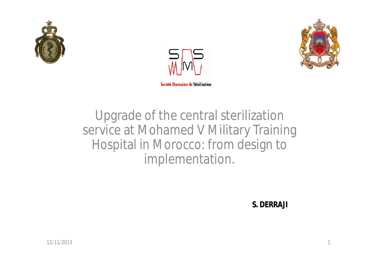





Upgrade of the central sterilization service at Mohamed V Military Training Hospital in Morocco: from design to implementation.

**S. DERRAJI**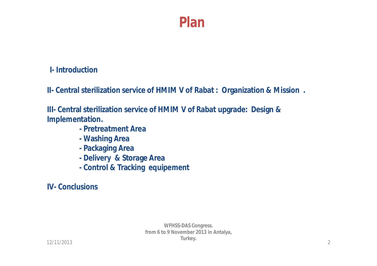### **I- Introduction**

**II- Central sterilization service of HMIM V of Rabat : Organization & Mission .**

**III- Central sterilization service of HMIM V of Rabat upgrade: Design & Implementation.**

- **- Pretreatment Area**
- **- Washing Area**
- **- Packaging Area**
- **- Delivery & Storage Area**
- **- Control & Tracking equipement**

**IV- Conclusions**

**WFHSS-DAS Congress. from 6 to 9 November 2013 in Antalya, Turkey.**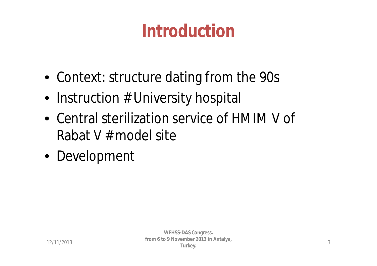## **Introduction**

- Context: structure dating from the 90s
- Instruction # University hospital
- Central sterilization service of HMIM V of Rabat V # model site
- Development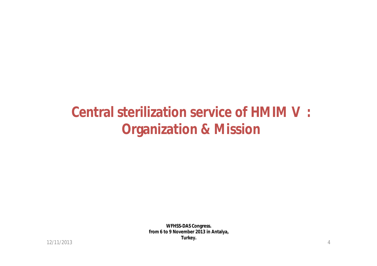### **Central sterilization service of HMIM V : Organization & Mission**

**WFHSS-DAS Congress. from 6 to 9 November 2013 in Antalya, Turkey.**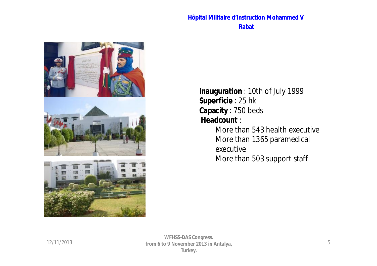#### **Hôpital Militaire d'Instruction Mohammed V Rabat**



**Inauguration** : 10th of July 1999 **Superficie** : 25 hk **Capacity** : 750 beds **Headcount** : More than 543 health executive

More than 1365 paramedical executive More than 503 support staff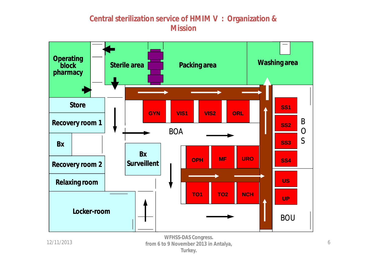#### **Central sterilization service of HMIM V : Organization & Mission**



**WFHSS-DAS Congress. from 6 to 9 November 2013 in Antalya, Turkey.**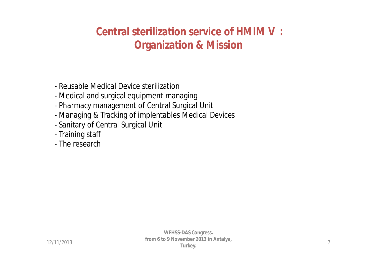### **Central sterilization service of HMIM V : Organization & Mission**

- Reusable Medical Device sterilization
- Medical and surgical equipment managing
- Pharmacy management of Central Surgical Unit
- Managing & Tracking of implentables Medical Devices
- Sanitary of Central Surgical Unit
- Training staff
- The research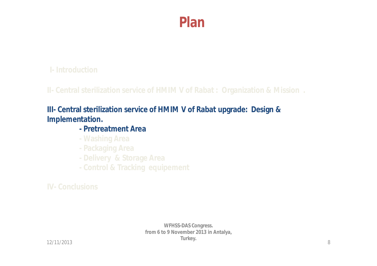### **I- Introduction**

**II- Central sterilization service of HMIM V of Rabat : Organization & Mission .**

### **III- Central sterilization service of HMIM V of Rabat upgrade: Design & Implementation.**

#### **- Pretreatment Area**

- **- Washing Area**
- **- Packaging Area**
- 
- **- Control & Tracking equipement**

**IV- Conclusions**

**WFHSS-DAS Congress. from 6 to 9 November 2013 in Antalya, Turkey.**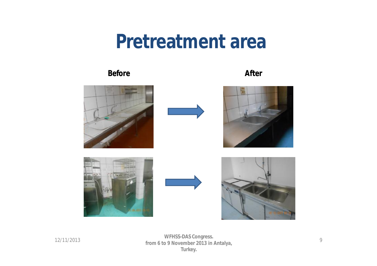## **Pretreatment area**

#### **Before After**



12/11/2013 9 **from 6 to 9 November 2013 in Antalya, WFHSS-DAS Congress. Turkey.**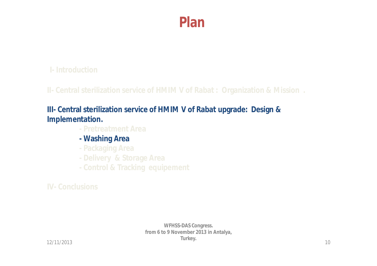### **I- Introduction**

**II- Central sterilization service of HMIM V of Rabat : Organization & Mission .**

### **III- Central sterilization service of HMIM V of Rabat upgrade: Design & Implementation.**

- **- Pretreatment Area**
- **- Washing Area**
- **- Packaging Area**
- 
- **- Control & Tracking equipement**

**IV- Conclusions**

**WFHSS-DAS Congress. from 6 to 9 November 2013 in Antalya, Turkey.**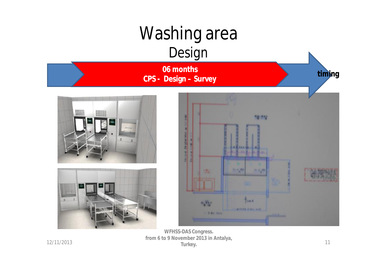

 $\frac{12}{11}$  12/11/2013 **WFHSS-DAS Congress. from 6 to 9 November 2013 in Antalya, Turkey.**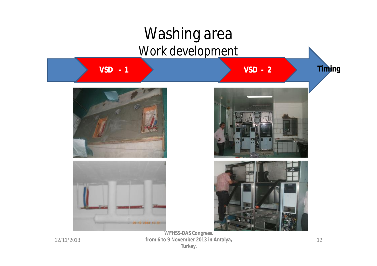

12/11/2013 12 **from 6 to 9 November 2013 in Antalya, WFHSS-DAS Congress. Turkey.**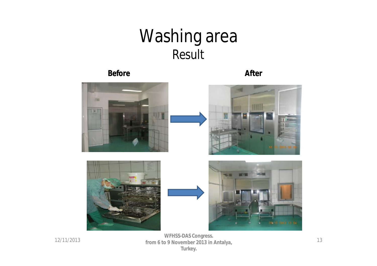## Washing area *Result*

#### **Before After**



 $12/11/2013$  from 6 to 9 November 2013 in Antalya **WFHSS-DAS Congress. from 6 to 9 November 2013 in Antalya, Turkey.**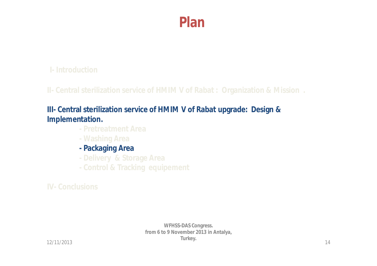### **I- Introduction**

**II- Central sterilization service of HMIM V of Rabat : Organization & Mission .**

### **III- Central sterilization service of HMIM V of Rabat upgrade: Design & Implementation.**

- **- Pretreatment Area**
- **- Washing Area**
- **- Packaging Area**
- 
- **- Control & Tracking equipement**

**IV- Conclusions**

**WFHSS-DAS Congress. from 6 to 9 November 2013 in Antalya, Turkey.**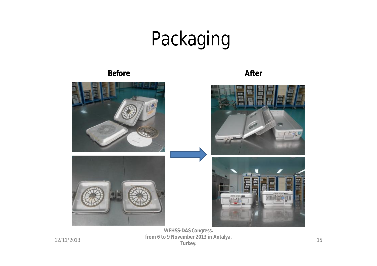# Packaging

#### **Before After**

**WFHSS-DAS Congress. from 6 to 9 November 2013 in Antalya, Turkey.**

12/11/2013

15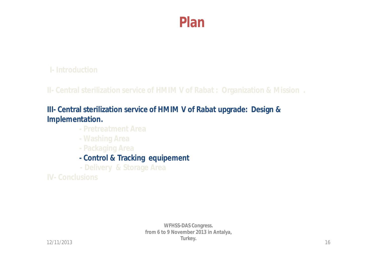### **I- Introduction**

**II- Central sterilization service of HMIM V of Rabat : Organization & Mission .**

### **III- Central sterilization service of HMIM V of Rabat upgrade: Design & Implementation.**

- **- Pretreatment Area**
- **- Washing Area**
- **- Packaging Area**
- **- Control & Tracking equipement**
- **- Delivery & Storage Area**

**IV- Conclusions**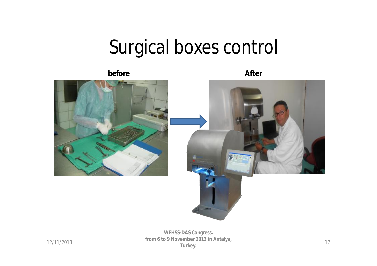## Surgical boxes control

**before After**



 $\frac{12}{11}$  12/11/2013 **WFHSS-DAS Congress. from 6 to 9 November 2013 in Antalya, Turkey.**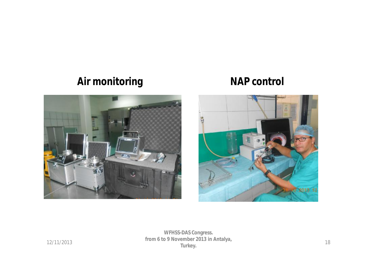### **Air monitoring NAP control**





 $\frac{12}{11/2013}$  18 **WFHSS-DAS Congress. from 6 to 9 November 2013 in Antalya, Turkey.**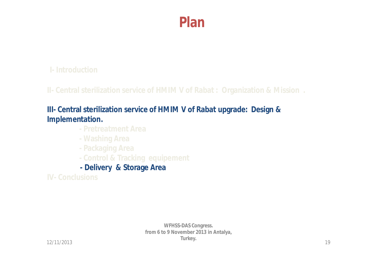### **I- Introduction**

**II- Central sterilization service of HMIM V of Rabat : Organization & Mission .**

### **III- Central sterilization service of HMIM V of Rabat upgrade: Design & Implementation.**

- **- Pretreatment Area**
- **- Washing Area**
- **- Packaging Area**
- **- Control & Tracking equipement**
- **- Delivery & Storage Area**

**IV- Conclusions**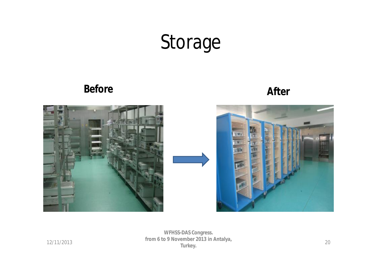## Storage

**Before After**







12/11/2013 20 **from 6 to 9 November 2013 in Antalya, WFHSS-DAS Congress. Turkey.**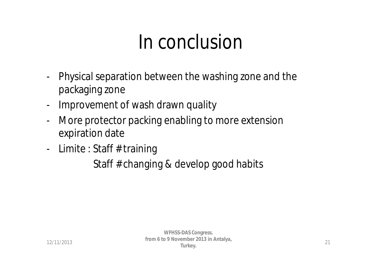## In conclusion

- Physical separation between the washing zone and the packaging zone
- Improvement of wash drawn quality
- More protector packing enabling to more extension expiration date
- Limite : Staff # training

Staff # changing & develop good habits